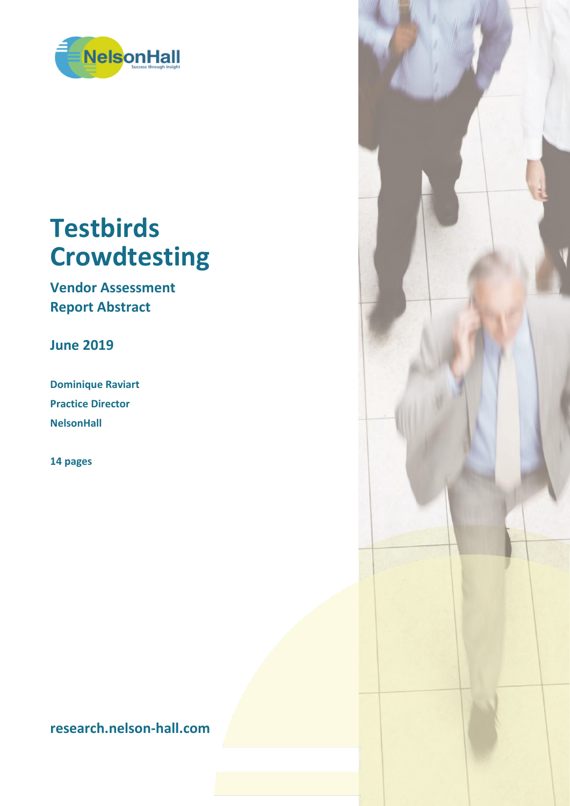

# **Testbirds Crowdtesting**

**Vendor Assessment Report Abstract**

**June 2019**

**Dominique Raviart Practice Director NelsonHall**

**14 pages**

**research.nelson-hall.com**

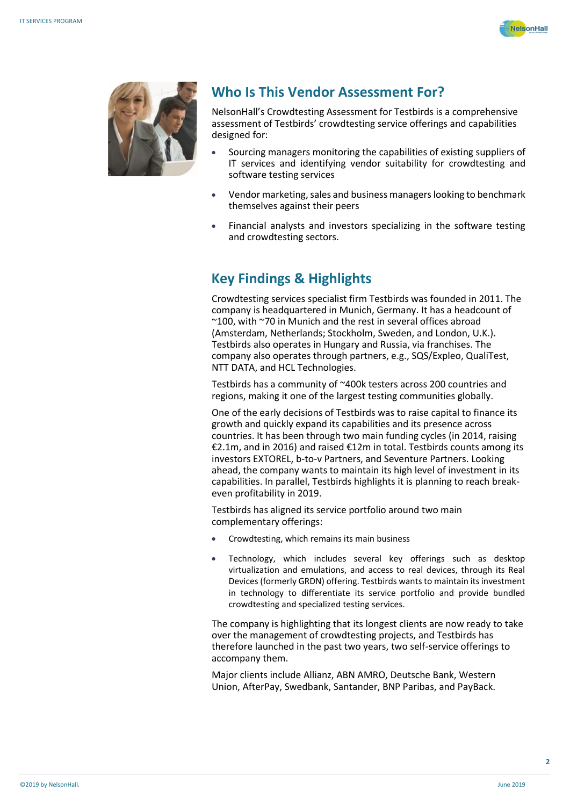



#### **Who Is This Vendor Assessment For?**

NelsonHall's Crowdtesting Assessment for Testbirds is a comprehensive assessment of Testbirds' crowdtesting service offerings and capabilities designed for:

- Sourcing managers monitoring the capabilities of existing suppliers of IT services and identifying vendor suitability for crowdtesting and software testing services
- Vendor marketing, sales and business managers looking to benchmark themselves against their peers
- Financial analysts and investors specializing in the software testing and crowdtesting sectors.

## **Key Findings & Highlights**

Crowdtesting services specialist firm Testbirds was founded in 2011. The company is headquartered in Munich, Germany. It has a headcount of ~100, with ~70 in Munich and the rest in several offices abroad (Amsterdam, Netherlands; Stockholm, Sweden, and London, U.K.). Testbirds also operates in Hungary and Russia, via franchises. The company also operates through partners, e.g., SQS/Expleo, QualiTest, NTT DATA, and HCL Technologies.

Testbirds has a community of ~400k testers across 200 countries and regions, making it one of the largest testing communities globally.

One of the early decisions of Testbirds was to raise capital to finance its growth and quickly expand its capabilities and its presence across countries. It has been through two main funding cycles (in 2014, raising €2.1m, and in 2016) and raised €12m in total. Testbirds counts among its investors EXTOREL, b-to-v Partners, and Seventure Partners. Looking ahead, the company wants to maintain its high level of investment in its capabilities. In parallel, Testbirds highlights it is planning to reach breakeven profitability in 2019.

Testbirds has aligned its service portfolio around two main complementary offerings:

- Crowdtesting, which remains its main business
- Technology, which includes several key offerings such as desktop virtualization and emulations, and access to real devices, through its Real Devices (formerly GRDN) offering. Testbirds wants to maintain its investment in technology to differentiate its service portfolio and provide bundled crowdtesting and specialized testing services.

The company is highlighting that its longest clients are now ready to take over the management of crowdtesting projects, and Testbirds has therefore launched in the past two years, two self-service offerings to accompany them.

Major clients include Allianz, ABN AMRO, Deutsche Bank, Western Union, AfterPay, Swedbank, Santander, BNP Paribas, and PayBack.